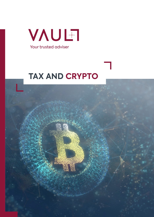

# **TAX AND CRYPTO**

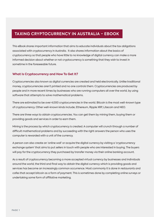# **TAXING CRYPTOCURRENCY IN AUSTRALIA - EBOOK**

This eBook shares important information that aims to educate individuals about the tax obligations associated with cryptocurrency in Australia. It also shares information about the basics of cryptocurrency so that people who have little to no knowledge of digital currency can make a more informed decision about whether or not cryptocurrency is something that they wish to invest in sometime in the foreseeable future.

#### **What Is Cryptocurrency and How To Get It?**

Cryptocurrencies also known as digital currencies are created and held electronically. Unlike traditional money, cryptocurrencies aren't printed and no one controls them. Cryptocurrencies are produced by people and in more recent times by businesses who are running computers all over the world, by using software that attempts to solve mathematical problems.

There are estimated to be over 4,000 cryptocurrencies in the world. Bitcoin is the most well-known type of cryptocurrency. Other well-known kinds include; Ethereum, Ripple XRP, Litecoin and NEO.

There are three ways to obtain cryptocurrencies. You can get them by mining them, buying them or providing goods and services in order to earn them.

Mining is the process by which cryptocurrency is created. A computer will crunch through a number of difficult mathematical problems and by succeeding with the right answers the person who uses the computer is rewarded with a unit of the currency.

A person can also create an 'online wall' or acquire the digital currency by visiting a 'cryptocurrency exchange system' that aims to put sellers in touch with people who are interested in buying. The buyers will pay for the cryptocurrency they purchased by transfer money via their online banking account.

As a result of cryptocurrency becoming a more accepted virtual currency by businesses and individuals around the world, the third and final way to obtain the digital currency which is providing goods and services has become an increasingly common occurrence. Most commonly it is done in restaurants and cafes that accept bitcoin as a form of payment. This is sometimes done by completing online surveys or undertaking some form of affiliative marketing.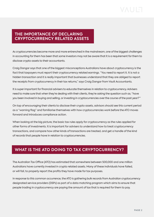# **THE IMPORTANCE OF DECLARING CRYPTOCURRENCY RELATED ASSETS**

As cryptocurrencies become more and more entrenched in the mainstream, one of the biggest challenges in accounting for them has been that some investors may not be aware that it is a requirement for them to disclose crypto assets to their accountants.

Craig Dangar says that one of the biggest misconceptions Australians have about cryptocurrency is the fact that taxpayers must report their cryptocurrency related earnings. "You need to report it. It is not a hidden transaction and it is really important that businesses understand that they are obliged to report the receipts from cryptocurrency in their tax returns," says Craig Dangar from Vault Accountants.

It is super important for financial advisers to educate themselves in relation to cryptocurrency. Advisers need to make sure that when they're dealing with their clients, they're asking the question such as; "have you been involved in buying and selling, or investing in cryptocurrencies over the course of the past year?'"

On top of encouraging their clients to disclose their crypto assets, advisors should see this current period as a "warning flag" and familiarise themselves with how cryptocurrencies work before the ATO moves forward and introduces compliance action.

When looking at the big picture, the basic tax rules apply for cryptocurrency as the rules applied for other forms of investments. It is important for advisers to understand how to treat cryptocurrency transactions, and compare how other kinds of transactions are treated, and get a handle of the kind of records that people have in relation to cryptocurrencies.

# **WHAT IS THE ATO DOING TO TAX CRYPTOCURRENCY?**

The Australian Tax Office (ATO) has estimated that somewhere between 500,000 and one million Australians have currently invested in crypto related assets. Many of these individuals have failed, or will fail, to properly report the profits they have made for tax purposes.

In response to this common occurrence, the ATO is gathering bulk records from Australian cryptocurrency designated service providers (DSPs) as part of a data matching program which aims to ensure that people trading in cryptocurrency are paying the amount of tax that is required for them to pay.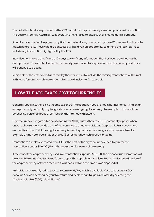The data that has been provided to the ATO consists of cryptocurrency sales and purchase information. The data will identify Australian taxpayers who have failed to disclose their income details correctly.

A number of Australian taxpayers may find themselves being contacted by the ATO as a result of the data matching exercise. Those who are contacted will be given an opportunity to amend their tax returns to include any information highlighted by the ATO.

Individuals will have a timeframe of 28 days to clarify any information that has been obtained via the data provider. Thousands of letters have already been issued to taxpayers across the country and more will continue to be sent.

Recipients of the letters who fail to modify their tax return to include the missing transactions will be met with more forceful compliance action which could include a full tax audit.

# **HOW THE ATO TAXES CRYPTOCURRENCIES**

Generally speaking, there is no income tax or GST implications if you are not in business or carrying on an enterprise and you simply pay for goods or services using cryptocurrency. An example of this would be purchasing personal goods or services on the internet with bitcoin.

Cryptocurrency is regarded as capital gains tax (CGT) assets therefore CGT potentially applies when an Australian resident sends a unit of the currency to another individual. Despite this, transactions are excused from the CGT if the cryptocurrency is used to pay for services or goods for personal use for example online hotel bookings, or at a café or restaurant which accepts bitcoins.

Transactions are also exempted from CGT if the cost of the cryptocurrency used to pay for the transaction is under \$10,000 (this is the exemption for personal use assets).

If the cost of the cryptocurrency used in a transaction surpasses \$10,000, the personal use exemption will be unavailable and Capital Gains Tax will apply. The capital gain is calculated as the increase in value of the cryptocurrency between the time it was acquired and the time it was disposed of.

An individual can easily lodge your tax return via MyTax, which is available VIA a taxpayers MyGov account. You can personalise your tax return and declare capital gains or losses by selecting the 'Capital gains tax (CGT) related items'.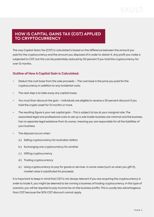# **HOW IS CAPITAL GAINS TAX (CGT) APPLIED TO CRYPTOCURRENCY**

The way Capital Gains Tax (CGT) is calculated is based on the difference between the amount you paid for the cryptocurrency and the amount you disposed of in order to obtain it. Any profit you make is subjected to CGT, but this can be potentially reduced by 50 percent if you hold the cryptocurrency for over 12 months.

## **Outline of How A Capital Gain Is Calculated:**

- Deduct the cost base from the sale proceeds The cost base is the price you paid for the cryptocurrency in addition to any incidental costs.
- The next step is to take away any capital losses.
- You must than discount the gain Individuals are eligible to receive a 50 percent discount if you hold the crypto asset for 12 months or more.
- The resulting figure is your net capital gain This is subject to tax at your marginal rate. The associated legal and professional costs to set up a sole trader business are minimal and the business has no separate legal existence from its owner, meaning you are responsible for all the liabilities of your business.
- The disposal occurs when:
	- a.) Selling cryptocurrency for Australian dollars
	- b.) Exchanging one cryptocurrency for another
	- c.) Gifting cryptocurrency
	- d.) Trading cryptocurrency
	- e.) Using cryptocurrency to pay for goods or services. In some cases (such as when you gift it), market value is substituted for proceeds.

It is important to keep in mind that CGT is not always relevant If you are acquiring the cryptocurrency in order to trade it, you might be deemed to be running a business of trading cryptocurrency. In this type of scenario, you will be required to pay income tax on the business profits. This is usually less advantageous than CGT because the 50% CGT discount cannot apply.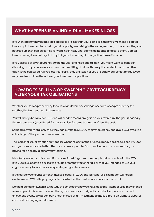# **WHAT HAPPENS IF AN INDIVIDUAL MAKES A LOSS**

If your cryptocurrency related sale proceeds are less than your cost base, then you will make a capital loss. A capital loss can be offset against capital gains arising in the same year and, to the extent they are not used up, they can be carried forward indefinitely until capital gains arise to absorb them. Capital losses can only be offset against capital gains, but not against any other form of income.

If you dispose of cryptocurrency during the year and net a capital gain, you might want to consider disposing of any other assets you own that are sitting at a loss. This way the capital loss can be offset against the capital gain. If you lose your coins, they are stolen or you are otherwise subject to fraud, you may be able to claim the value of your losses as a capital loss.

# **HOW DOES SELLING OR SWAPPING CRYPTOCURRENCY ALTER YOUR TAX OBLIGATIONS**

Whether you sell cryptocurrency for Australian dollars or exchange one form of cryptocurrency for another, the tax treatment is the same:

You will always be liable for CGT and will need to record any gain on your tax return. The gain is basically the sale proceeds (substituted for market value for some transactions) less the cost.

Some taxpayers mistakenly think they can buy up to \$10,000 of cryptocurrency and avoid CGT by taking advantage of the 'personal use' exemption.

The 'personal use' exemption only applies when the cost of the cryptocurrency does not exceed \$10,000 and you can demonstrate that the cryptocurrency was to fund genuine personal consumption, such as paying for a holiday, a car or your wedding.

Mistakenly relying on this exemption is one of the biggest reasons people get in trouble with the ATO. If you use it, expect to be asked to provide proof that you either did or that you intended to use your cryptocurrency to fund personal spending on goods or services.

If the cost of your cryptocurrency assets exceeds \$10,000, the 'personal use' exemption will not be available and CGT will apply, regardless of whether the asset was for personal use or not.

During a period of ownership, the way the cryptocurrency you have acquired is kept or used may change. An example of this would be when the cryptocurrency you originally acquired for personal use and enjoyment, eventually began being kept or used as an investment, to make a profit on ultimate disposal or as part of carrying on a business.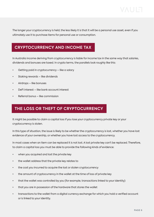The longer your cryptocurrency is held, the less likely it is that it will be a personal use asset, even if you ultimately use it to purchase items for personal use or consumption.

# **CRYPTOCURRENCY AND INCOME TAX**

In Australia income deriving from cryptocurrency is liable for income tax in the same way that salaries, dividends and bonuses are taxed. In crypto terms, the parallels look roughly like this:

- Getting paid in cryptocurrency like a salary
- Staking rewards like dividends
- Airdrops like bonuses
- DeFi interest like bank account interest
- Referral bonus like commission

# **THE LOSS OR THEFT OF CRYPTOCURRENCY**

It might be possible to claim a capital loss if you lose your cryptocurrency private key or your cryptocurrency is stolen.

In this type of situation, the issue is likely to be whether the cryptocurrency is lost, whether you have lost evidence of your ownership, or whether you have lost access to the cryptocurrency.

In most cases when an item can be replaced it is not lost. A lost private key can't be replaced. Therefore, to claim a capital loss you must be able to provide the following kinds of evidence:

- when you acquired and lost the private key
- the wallet address that the private key relates to
- the cost you incurred to acquire the lost or stolen cryptocurrency
- the amount of cryptocurrency in the wallet at the time of loss of private key
- that the wallet was controlled by you (for example, transactions linked to your identity)
- that you are in possession of the hardware that stores the wallet
- transactions to the wallet from a digital currency exchange for which you hold a verified account or is linked to your identity.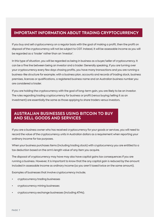# **IMPORTANT INFORMATION ABOUT TRADING CRYPTOCURRENCY**

If you buy and sell cryptocurrency on a regular basis with the goal of making a profit, then the profit on disposal of the cryptocurrency will not be subject to CGT. Instead, it will be assessable income as you will be regarded as a 'trader' rather than an 'investor'.

In this type of situation, you will be regarded as being in business as a buyer/seller of cryptocurrency. It can be a fine line between being an investor and a trader. Generally speaking, if you are turning over your cryptocurrency every few days chasing profits, you have many transactions and you are running a business-like structure for example; with a business plan, accounts and records of trading stock, business premises, licences or qualifications, a registered business name and an Australian business number you are considered a trader.

If you are holding the cryptocurrency with the goal of long-term gain, you are likely to be an investor. The rules regarding trading cryptocurrency for business or profit (versus buying/selling it as an investment) are essentially the same as those applying to share traders versus investors.

# **AUSTRALIAN BUSINESSES USING BITCOIN TO BUY AND SELL GOODS AND SERVICES**

If you are a business owner who has received cryptocurrency for your goods or services, you will need to record the value of the cryptocurrency units in Australian dollars as a requirement when reporting your ordinary income for tax purposes.

When your business purchases items (including trading stock) with cryptocurrency you are entitled to a tax deduction based on the arm's length value of any item you acquire.

The disposal of cryptocurrency may have may also have capital gains tax consequences if you are running a business. However, it is important to know that the any capital gain is reduced by the amount included in assessable income as ordinary income (so you aren't taxed twice on the same amount).

Examples of businesses that involve cryptocurrency include;

- cryptocurrency trading businesses
- cryptocurrency mining businesses
- cryptocurrency exchange businesses (including ATMs).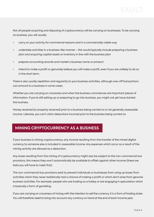Not all people acquiring and disposing of cryptocurrency will be carrying on businesses. To be carrying on business, you will usually:

- carry on your activity for commercial reasons and in a commercially viable way
- undertake activities in a business-like manner this would typically include preparing a business plan and acquiring capital assets or inventory in line with the business plan
- prepare accounting records and market a business name or product
- intend to make a profit or genuinely believe you will make a profit, even if you are unlikely to do so in the short term.

There is also usually repetition and regularity to your business activities, although one-off transactions can amount to a business in some cases.

Whether you are carrying on a business and when the business commences are important pieces of information. If you're still setting up or preparing to go into business, you might not yet have started the business.

Money received (or property received) prior to a business being carried on is not generally assessable income. Likewise, you can't claim deductions incurred prior to the business being carried on.

# **MINING CRYPTOCURRENCY AS A BUSINESS**

If your business is mining cryptocurrency, any income resulting from the transfer of the mined digital currency to someone else is included in assessable income. Any expenses which occur as a result of the mining activity are allowed as a deduction.

Any losses resulting from the mining of cryptocurrency might also be subject to the non-commercial loss provisions, this means they won't automatically be available to offset against other income (there are tests you will have to meet first).

The non-commercial loss provisions exist to prevent individuals or businesses from using up losses from activities which they never realistically had a chance of making a profit or which don't arise from genuine business activities. For example; people who are trading as a hobby or are engaging in speculation which is basically a form of gambling.

If you are carrying on a business of mining with the intention to sell the currency, it is a form of trading stoke. You will therefore need to bring into account any currency on hand at the end of each income year.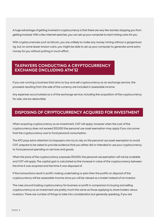A huge advantage of getting involved in cryptocurrency is that there are very few barriers stopping you from getting involved. With a few Internet searches, you can set up your computer to start mining coins for you.

With cryptocurrencies such as bitcoin, you are unlikely to make any money mining without a gargantuan rig, but on some lesser-known coins, you might be able to set up your computer to generate some extra money for you without putting in much effort.

# **TAXPAYERS CONDUCTING A CRYPTOCURRENCY EXCHANGE (INCLUDING ATM'S)**

If you are running a business that aims to buy and sell cryptocurrency as an exchange service, the proceeds resulting from the sale of the currency are included in assessable income.

Any expenses accumulated as a of the exchange service, including the acquisition of the cryptocurrency for sale, are tax deductible.

# **DISPOSING OF CRYPTOCURRENCY ACQUIRED FOR INVESTMENT**

When acquiring cryptocurrency as an investment, CGT will apply, however when the cost of the cryptocurrency does not exceed \$10,000 the personal use asset exemption may apply if you can prove that the cryptocurrency was to fund personal consumption.

The ATO pays extra attention to taxpayers who try to rely on the personal use asset exemption to avoid CGT; prepare to be asked to provide evidence that you either did or intended to use your cryptocurrency to fund personal spending on services and goods.

When the price of the cryptocurrency surpasses \$10,000, the personal use exemption will not be available and CGT will apply. The capital gain is calculated as the increase in value of the cryptocurrency between the time it was acquired and the time it was disposed of.

If the transactions result in profit-making undertaking or plan then the profits on disposal of the cryptocurrency will be assessable income since you will be viewed as a trader instead of an investor.

The rules around trading cryptocurrency for business or profit in comparison to buying and selling cryptocurrency as an investment are pretty much the same as those applying to share traders versus investors. There are number of things to take into consideration but generally speaking, if you are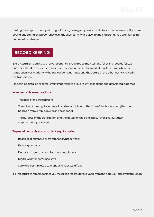holding the cryptocurrency with a goal to long term gain, you are most likely to be an investor. If you are buying and selling cryptocurrency over the short term with a view to making profits, you are likely to be perceived as a trader.

# **RECORD KEEPING**

Every Australian dealing with cryptocurrency is required to maintain the following records for tax purposes: the date of every transaction, the amount in Australian dollars at the time when the transaction was made, why the transaction was made and the details of the other party involved in the transaction.

Maintaining detailed records is very important to prove your transactions and associated expenses.

#### **Your records must include:**

- The date of the transactions
- The value of the cryptocurrency in Australian dollars at the time of the transaction (this can be taken from a reputable online exchange)
- The purpose of the transaction and the details of the other party (even if it's just their cryptocurrency address)

## **Types of records you should keep include:**

- Receipts of purchase or transfer of cryptocurrency
- Exchange records
- Records of agent, accountants and legal costs
- Digital wallet records and keys
- Software costs related to managing your tax affairs

It is important to remember that you must keep records for five years from the date you lodge your tax return.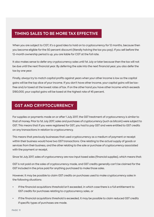# **TIMING SALES TO BE MORE TAX EFFECTIVE**

When you are subject to CGT, it's a good idea to hold on to cryptocurrency for 12 months, because then you become eligible for the 50 percent discount (literally halving the tax you pay). If you sell before the 12-month ownership period is up, you are liable for CGT at the full rate.

It also makes sense to defer any cryptocurrency sales until 1st July or later because then the tax will not be due until the next financial year. By deferring the sale into the next financial year, you also defer the tax by one year.

Finally, always try to match capital profits against years when your other income is low so the capital gains will be the top slice of your income. If you don't have other income, your capital gains will be taxfree and/or taxed at the lowest rates of tax. If on the other hand you have other income which exceeds \$180,000, your capital gains will be taxed at the highest rate of 45 percent.

# **GST AND CRYPTOCURRENCY**

For supplies or payments made on or after 1 July 2017, the GST treatment of cryptocurrency is similar to that of money. Prior to 1st July 2017, sales and purchases of cryptocurrency (such as bitcoin) were subject to GST. This means that if you were registered for GST, you had to pay GST and were entitled to GST credits on any transactions in relation to cryptocurrency.

This means that previously businesses that used cryptocurrency as a medium of payment or receipt within their business would have two GST transactions: One relating to the actual supply of goods or services from their business, and the other relating to the sale or purchase of cryptocurrency associated with the payment or receipt.

Since 1st July 2017, sales of cryptocurrency are now input taxed sales (financial supplies), which means that:

GST is not paid on the sales of cryptocurrency made, and GST credits generally can't be claimed for the GST included in the price paid for anything purchased to make those sales.

However, it may be possible to claim GST credits on purchases used to make cryptocurrency sales in the following situations:

- If the financial acquisitions threshold isn't exceeded, in which case there is a full entitlement to GST credits for purchases relating to cryptocurrency sales, or
- If the financial acquisitions threshold is exceeded, it may be possible to claim reduced GST credits if specific types of purchases are made.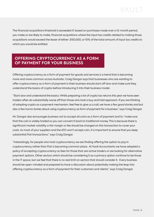The financial acquisitions threshold is exceeded if, based on purchases made over a 12-month period, you make or are likely to make, financial acquisitions where the input tax credits related to making those acquisitions would exceed the lesser of either: \$150,000, or 10% of the total amount of input tax credits to which you would be entitled.

# **OFFERING CRYPTOCURRENCY AS A FORM OF PAYMENT FOR YOUR BUSINESS**

Offering cryptocurrency as a form of payment for goods and services is a trend that is becoming more and more common across Australia. Craig Dangar says that businesses who are wanting to offer cryptocurrency as a form of payment in their business should start off slow and make sure they understand the basics of crypto before introducing it into their business model.

"Start slow and understand the basics. Whilst preparing a lot of crypto tax returns this year we have seen traders often do substantially worse off than those who took a buy and hold approach. If you are thinking of adopting crypto as a payment mechanism, feel free to give us a call, we have a few good stories and but also a few horror stories about using cryptocurrency as form of payment for a business," says Craig Dangar.

Mr. Dangar also encourages business not to accept all coins as a form of payment and to "make sure that the coin is widely traded so you can convert it back to traditional money. This is because there is significant market volatility a fair margin or fee should be charged on this transaction to cover your costs. As most of your suppliers and the ATO won't accept coin, it is important to ensure that you keep substantial Fiat transactions," says Craig Dangar.

"Interestingly, for people who hold cryptocurrency we are finding offering the option to pay in cryptocurrency rather than Fiat is becoming common place. At Vault Accountants we have adopted a policy of accepting cryptocurrency as fees for those that are active traders or are looking for alternative payment options. Other sectors which should be considering it as a primary option continue to be those in the IT space, but we feel that there is no real limit on sectors that should consider it. Every business should be open-minded and prepared to have a discussion about potentially making the leap into offering cryptocurrency as a form of payment for their customers and clients," says Craig Dangar.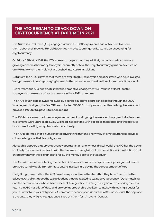# **THE ATO BEGAN TO CRACK DOWN ON CRYPTOCURRENCY AT TAX TIME IN 2021**

The Australian Tax Office (ATO) engaged around 100,000 taxpayers ahead of tax time to inform them about their required tax obligations as it moves to strengthen its stance on accounting for cryptocurrency.

On Friday 28th May 2021, the ATO warned taxpayers that they will likely be contacted as there are growing concerns that many taxpayers incorrectly believe their cryptocurrency gains are tax-free or only taxable when their holdings are cashed into Australian dollars.

Data from the ATO illustrates that there are over 600,000 taxpayers across Australia who have invested in crypto assets following a surging interest in the currency over the duration of the covid-19 pandemic.

Furthermore, the ATO anticipates that their proactive engagement will result in at least 300,000 taxpayers to make note of cryptocurrency in their 2021 tax returns.

The ATO's tough crackdown is followed by a softer educative approach adopted through the 2020 income year. Last year, the Tax Office contacted 100,000 taxpayers who had traded crypto assets and provoked 140,000 taxpayers to lodge returns.

The ATO is concerned that the anonymous nature of trading crypto assets led taxpayers to believe their investments were untraceable. ATO will head into tax time with access to more data and the ability to track those investing in crypto assets more closely.

The ATO is alarmed that a number of taxpayers think that the anonymity of cryptocurrencies provides a licence to ignore their tax obligations.

Although it appears that cryptocurrency operates in an anonymous digital world, the ATO has the power to closely track where it interacts with the real world through data from banks, financial institutions and cryptocurrency online exchanges to follow the money back to the taxpayer.

The ATO will use data-matching methods to link transactions from cryptocurrency-designated service providers to individuals' tax returns, to ensure investors are paying the correct amount of tax.

Craig Dangar asserts that the ATO have been productive in the steps that they have taken to better educate Australians about the tax obligations that are related to taxing cryptocurrency. "Data matching and the communication have been excellent. In regards to assisting taxpayers with preparing their tax return the ATO has a lot of data and are very approachable and keen to assist with making it easier for you to understand your obligations. A common misconception is that the ATO is adversarial, the opposite is the case, they will give you guidance if you ask them for it," says Mr. Dangar.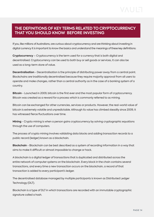## **THE DEFINITIONS OF KEY TERMS RELATED TO CRYPTOCURRENCY THAT YOU SHOULD KNOW BEFORE INVESTING**

If you, like millions of Australians, are curious about cryptocurrency and are thinking about investing in digital currency it is important to know the basics and understand the meanings of these key definitions:

**Cryptocurrency** – Cryptocurrency is the term used for a currency that is both digital and decentralised. Cryptocurrency can be used to both buy or sell goods or services, it can also be used as a long-term store of value.

**Decentralisation** - Decentralisation is the principle of distributing power away from a central point. Blockchains are traditionally decentralised because they require majority approval from all users to operate and make changes, rather than a central authority as in the case of a banking system of a country.

**Bitcoin** - Launched in 2009, bitcoin is the first ever and the most popular form of cryptocurrency. Bitcoin was created as a reward for a process which is commonly referred to as mining.

Bitcoin can be exchanged for other currencies, services or products. However, the real-world value of bitcoin is extremely volatile and unpredictable. Although its value has climbed steadily since 2009, it has witnessed fierce fluctuations over time.

**Mining** - Crypto mining is when a person gains cryptocurrency by solving cryptographic equations through the use of computers.

The process of crypto mining involves validating data blocks and adding transaction records to a public record (ledger) known as a blockchain.

**Blockchain** - Blockchain can be best described as a system of recording information in a way that aims to make it difficult or almost impossible to change or hack.

A blockchain is a digital ledger of transactions that is duplicated and distributed across the entire network of computer systems on the blockchain. Every block in the chain contains several transactions, and every time a new transaction occurs on the blockchain, a record of that transaction is added to every participant's ledger.

The decentralised database managed by multiple participants is known as Distributed Ledger Technology (DLT).

Blockchain is a type of DLT in which transactions are recorded with an immutable cryptographic signature called a hash.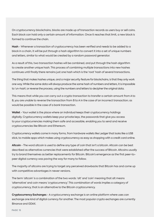On cryptocurrency blockchains, blocks are made up of transaction records as users buy or sell coins. Each block can hold only a certain amount of information. Once it reaches that limit, a new block is formed to continue the chain.

**Hash** - Whenever a transaction of cryptocurrency has been verified and needs to be added to a block in a chain, it will be put through a hash algorithm to convert it into a set of unique numbers and letters, similar to what would be created by a random password generator.

As a result of this, two transaction hashes will be combined, and put through the hash algorithm to create another unique hash. This process of combining multiple transactions into new hashes continues until finally there remains just one hash which is the 'root' hash of several transactions.

The thing that makes hashes unique, and a major security feature for blockchains, is that they only work one way. While the same data will always produce the same hash of numbers and letters, it is impossible to 'un-hash', or reverse the process, using the numbers and letters to decipher the original data.

This means that while you can carry out a crypto transaction to transfer a certain amount from A to B, you are unable to reverse the transaction from B to A in the case of an incorrect transaction; as would be possible in the case of a bank transaction.

**Wallet** - Your wallet is the place where an individual keeps their cryptocurrency holdings digitally. Cryptocurrency wallets keep your private keys, the passwords that give you access to your cryptocurrencies making them safe and accessible, enabling you to send and receive cryptocurrencies like Bitcoin and Ethereum.

Cryptocurrency wallets come in many forms, from hardware wallets like Ledger that looks like a USB stick, to mobile apps which makes using cryptocurrency as easy as shopping with a credit card online.

**Altcoin** - The word altcoin is used to define any type of coin that isn't a bitcoin. Altcoin can be best described as alternative currencies that were established after the success of Bitcoin. Altcoins usually try to brand themselves as better replacements for Bitcoin. Bitcoin's emergence as the first peer-topeer digital currency was paving the way for many to follow.

The majority of altcoins are trying to target any perceived drawbacks that Bitcoin has and come up with competitive advantages in newer versions.

The term 'altcoin' is a combination of the two words: 'alt' and 'coin' meaning that alt means 'alternative' and coin means 'cryptocurrency'. This combination of words implies a category of cryptocurrency, that is an alternative to the Bitcoin cryptocurrency.

**Cryptocurrency Exchanges** - A cryptocurrency exchange is an online platform where uses can exchange one kind of digital currency for another. The most popular crypto exchanges are currently Binance and GDAX.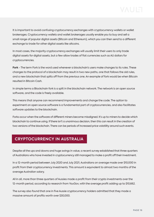It is important to avoid confusing cryptocurrency exchanges with cryptocurrency wallets or wallet brokerages. Cryptocurrency wallets and wallet brokerages usually enable you to buy and sell a small range of popular digital assets (Bitcoin and Ethereum), which you can then send to a different exchange to trade for other digital assets like altcoins.

In most cases, the majority cryptocurrency exchanges will usually limit their users to only trade digital assets for digital assets, but a few allow trades of fiat currencies such as AU dollars for cryptocurrencies.

**Fork** - The term Fork is the word used whenever a blockchain's users make changes to its rules. These changes to the protocol of a blockchain may result in two new paths, one that follows the old rules, and a new blockchain that splits off from the previous one. An example of fork would be when Bitcoin resulted in Bitcoin Cash.

In simple terms a Blockchain fork is a split in the blockchain network. The network is an open source software, and the code is freely available.

This means that anyone can recommend improvements and change the code. The option to experiment on open source software is a fundamental part of cryptocurrencies, and also facilitates software updates to the blockchain.

Forks occur when the software of different miners become misaligned. It's up to miners to decide which blockchain to continue using. If there isn't a unanimous decision, then this can result in the creation of two versions of the blockchain. There can be periods of increased price volatility around such events.

# **CRYPTOCURRENCY IN AUSTRALIA**

Despite all the ups and downs and huge swings in value, a recent survey established that three quarters of Australians who have invested in cryptocurrency still managed to make a profit off their investment.

In a 12-month period between July 2020 and July 2021, Australians on average made over \$10,000 in profit from their cryptocurrency investments. This amount is equivalent to almost two months of the average Australian salary.

All in all, more than three quarters of Aussies made a profit from their crypto investments over the 12-month period, according to research from YouGov, with the average profit adding up to \$10,662.

The survey also found that one in five Aussie cryptocurrency holders admitted that they made a massive amount of profits worth over \$30,000.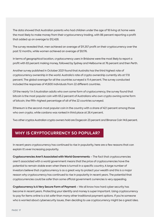The data showed that Australian parents who had children under the age of 18 living at home were the most likely to make money from their cryptocurrency trading, with 86 percent reporting a profit that added up on average to \$12,428.

The survey revealed that, men achieved an average of \$11,357 profit on their cryptocurrency over the past 12 months, while women achieved an average of \$9,176.

In terms of geographical location, cryptocurrency users in Brisbane were the most likely to report a profit with 83 percent making money, followed by Sydney and Melbourne at 76 percent and then Perth.

Another survey published in October 2021 found that Australia has the third highest rate of cryptocurrency ownership in the world. Australia's rate of crypto ownership currently sits at 17.8 percent. The global average for all the countries surveyed is 11.4 percent. The survey conducted included the responses of 41,600 individuals from 22 different countries.

Of the nearly 1 in 5 Australian adults who own some form of cryptocurrency, the survey found that bitcoin is the most popular coin with 65.2 percent of Australians who own crypto owning some form of bitcoin, the fifth-highest percentage of all of the 22 countries surveyed.

Ethereum is the second-most popular coin in the country with a share of 42.1 percent among those who own crypto, while cardano was ranked in third place at 26.4 percent.

Two other cryptos Australian crypto owners hold are Dogecoin 23 percent and Binance Coin 14.6 percent.

# **WHY IS CRYPTOCURRENCY SO POPULAR?**

In recent years cryptocurrency has continued to rise in popularity, here are a few reasons that can explain it's ever increasing popularity.

**Cryptocurrencies Aren't Associated with World Governments** – The fact that cryptocurrencies aren't associated with a world government means that the price of cryptocurrencies have the potential to remain stable even when there is turmoil in a specific country. A large number of investors believe that cryptocurrency is as a great way to protect your wealth and this is a major reason why cryptocurrency has continued to rise in popularity in recent years. The potential that cryptocurrencies could be safer than some official government currencies is very appealing.

**Cryptocurrency Is A Very Secure Form of Payment** – We all know how hard cyber security has become in recent years. Protecting your identity and money is super important. Using cryptocurrency to pay for items online is a lot safer than many other traditional payment options. If you're someone who is worried about cybersecurity issues, then deciding to use cryptocurrency might be a great idea.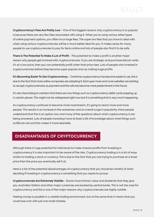**Cryptocurrency's Fees Are Pretty Low** - One of the biggest reasons why cryptocurrency is so popular is because there are very few fees associated with using it. When you're using various other types of online payment options, you often incur large fees. The super low fees that you have to deal with when using various cryptocurrencies will be a much better deal for you. It makes sense for many people to use cryptocurrencies to pay for items online and lots of people also find it to be safe.

**There Is The Potential To Make A Lot of Profit** - The potential to make a profit is another major reason why people get involved with cryptocurrencies. If you are strategic and purchase bitcoin while it's at a low price, then you can potentially profit when that price rises. Lots of people who invested in cryptocurrencies before they become super popular end up making huge profits.

**It's Becoming Easier To Use Cryptocurrency** – Overtime cryptocurrency has become easier to use, this is due to the fact that more online companies are adopting it. Each year more and more websites are starting to accept cryptocurrencies as payment and this will only become more predominant in the future.

It's also fascinating to mention that there are now things such as cryptocurrency debit cards popping up in certain places. This might not be widespread right now but it is something that is very much happening.

As cryptocurrency continues to become more mainstream, it's going to reach more and more people. This results in an increase in the awareness and an overall surge in popularity. More people understand that this is an option now and many of the questions about what cryptocurrency is are being answered. Lots of people nowadays have at least a bit of knowledge about what things such as Bitcoin are and this makes it more desirable.

# **DISADVANTAGES OF CRYPTOCURRENCY**

Although there is huge potential for individuals to make massive profits from investing in cryptocurrency it is also important to be aware of the risks. Cryptocurrency trading is in a lot of ways similar to trading a stock or currency. This is due to the fact that you are trying to purchase at a lower price than the price you eventually sell it at.

Here is a list of the potential disadvantages of cryptocurrency that you should be mindful of when deciding if investing in cryptocurrency is something that you aspire to pursue.

**Cryptocurrencies Are Extremely Volatile** - Stocks have intrinsic value and dividends that they give you, Australian Dollars and other major currencies are backed by central banks. This is not the case for cryptocurrency and this is one of the major reasons why cryptocurrencies are highly volatile.

Making money is possible in a volatile trading environment, but at the same time it means that you could lose a lot with just one small mistake.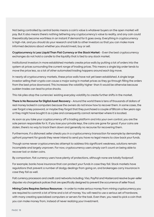Not being controlled by central banks means a coin's value is whatever buyers on the open market will pay. But it also means there's nothing tethering any cryptocurrency's value to reality, and any coin could theoretically become worthless in an instant if demand for it goes away. Everything in cryptocurrency is high-risk, and you should do your research and talk to other investors so that you can make more informed decisions about whether you should invest, buy or sell.

**Cryptocurrency Is Less Liquid Than Fiat Currency or the Stock Market** - Even the best cryptocurrency exchanges do not hold a candle to the liquidity that is tied to any stock market.

Institutional investors in more established markets create price walls by putting a lot of orders into the system at prices surrounding the current range of trading prices. This means a single big order tends to move the price less, as a lot of other automated trading happens around each big move.

In nearly all cryptocurrency markets, these price walls have not yet been established. A single large investor selling their crypto can cause a major swing in market prices as they go through filling the orders from the best price downward. This increases the volatility higher than it would be otherwise because sudden trades can lead to price shocks.

This risk piles atop the currencies' existing everyday volatility to create further shifts in the market.

**There Is No Recourse for Digital Asset Recovery** - Around the world there is tens of thousands of dollars of real money locked in computers because the owners do not know how to recover them. In some cases, the user forgot a key password, or maybe they forgot that they purchased a couple of Bitcoin a few years ago or they might have bought it as a joke and consequently cannot remember where it is located.

As soon as you take your cryptocurrency off a trading platform and into your own control, you are the sole person responsible for it. If you lose your private keys, the coins are gone for good. If your coins are stolen, there's no way to track them down and generally no recourse for recovering them.

Furthermore, if a dishonest seller cheats you in a cryptocurrency transaction for example by demanding upfront payment for goods they never intend to send you have no legal means to claw back your funds.

Though some newer cryptocurrencies attempt to address this significant weakness, solutions remain incomplete and largely unproven. For now, cryptocurrency users simply can't count on being able to recover lost or stolen coins.

By comparison, fiat currency users have plenty of protections, although none are totally foolproof.

For example; banks have insurance that can protect your funds in case they fail. Stock markets have regulations that prevent a number of dodgy dealings from going on, and brokerages carry insurance in case they fail as well.

Fait currency processors and credit card networks including; Visa, PayPal and Mastercard resolve buyer-seller disputes via chargeback polices that are specifically designed to prevent the occurrence of seller fraud.

**Mining Coins Requires Serious Resources** - In order to make serious money from mining cryptocurrency you are required to commit a lot of time and a lot of money. You will need to use a serious set of hardware, with many creating specialized computers or servers for the task. Even then, you need to pick a coin that you can make money from, instead of never realizing your investment.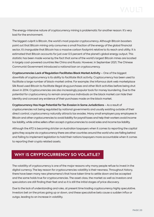The energy-intensive nature of cryptocurrency mining is problematic for another reason: It's very bad for the environment.

The biggest culprit is Bitcoin, the world's most popular cryptocurrency. Although Bitcoin boosters point out that Bitcoin mining only consumes a small fraction of the energy of the global financial sector, it's inarguable that Bitcoin has a massive carbon footprint relative to its reach and utility. It is estimated that Bitcoin accounts for just over 0.5 percent of the planet's global energy output. This statistic has been made worse by the fact that some of the world's largest Bitcoin mines are located in largely coal-powered countries like China and Russia. However, in September 2021, The Chinese Communist Government introduced a national ban on cryptocurrency.

**Cryptocurrencies Lack of Regulation Facilitates Black Market Activity** – One of the biggest downfalls of cryptocurrency is its ability to facilitate illicit activity. Cryptocurrency has been used to facilitate a large number of black-market online. For example; the infamous dark web marketplace Silk Road used Bitcoin to facilitate illegal drug purchases and other illicit activities before being shut down in 2014. Cryptocurrencies are also increasingly popular tools for money laundering. Due to the potential for cryptocurrency to remain anonymous individuals on the black market can hide their identity and conceal any evidence of their purchases made on the black market.

**Cryptocurrency Has Huge Potential for Tax Evasion in Some Jurisdictions** – As a result of cryptocurrencies not being regulated by national governments and usually exisiting outside of their direct control, cryptocurrency naturally attracts tax evades. Many small employers pay employees in Bitcoin and other cryptocurrencies to avoid liability for payroll taxes and help their workers avoid income tax liability, while online sellers often accept cryptocurrencies to avoid sales and income tax liability.

Although the ATO is becoming stricter on Australian taxpayers when it comes to reporting the capital gains they acquire via cryptocurrency there are other countries around the world who are falling behind and failing to implement legislation to hold their nations taxpayers more accountable when it comes to reporting their crypto related assets.

# **WHY IS CRYPTOCURRENCY SO VOLATILE?**

The volatility of cryptocurrency is one of the major reasons why many people refuse to invest in the digital currency. The key reason for cryptocurrencies volatility is their newness. Throughout history, there have been many new phenomena's that have taken time to settle down and be accepted and the same holds true for cryptocurrencies. The asset class, the market as well as investors and speculators are still finding their feet and so it is still the initial stages of price discovery.

Due to the lack of understanding and rules, at present time trading cryptocurrency highly speculative. Investors bet on the prices going up or down, and these speculative bets cause a sudden influx or outgo, leading to an increase in volatility.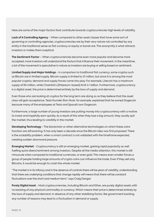Here are some of the major factors that contribute towards cryptocurrencies high levels of volatility.

**Lack of A Controlling Agency** – When compared to other asset classes that have some sort of governing or controlling agencies, cryptocurrencies are by their very nature not controlled by any entity in the traditional sense as fiat currency or equity or bonds are. The anonymity is what attracts investors or makes them sceptical.

**The Sentiment Factor** – When cryptocurrencies become even more popular and become more accepted, more investors will understand the factors that influence their movement. In the meantime, a lot of the movement is speculative in nature as investors are buying or selling based on sentiment.

**Limited Supply And Major Holdings** - In comparison to traditional fiat currency, some cryptos such as Bitcoin are in limited supply. Bitcoin supply is limited to 21 million, but since it is among the most popular cryptos, demand and supply forces come into play. For example, Litecoin has a maximum supply of 84 million, while Chainlink's (Ehtereum-based) limit is 1 billion. Furthermore, cryptocurrency is a digital asset, the price is determined entirely by the laws of supply and demand.

Even those who are looking at cryptos for the long term are doing so as they believe that the asset class will gain acceptance. Tesla founder Elon Musk, for example, explained that he owned Dogecoin because many of the employees at Tesla and SpaceX own Dogecoin.

Furthermore, a large number of young investors are putting money into cryptocurrency with a motive to invest and hopefully earn quickly. As a result of this when they lose a big amount, they usually quit the market, thus leading to volatility in the market.

**Developing Technology** - The blockchain or other alternative technologies on which these coins function are still evolving. It has only been a decade since the Bitcoin idea was first proposed. There is the scalability problem, when a smart contract is not validated with the timeframe expected, creating sudden downward pressure.

**Emerging Market** - Cryptocurrency is still an emerging market, gaining rapid popularity as well fuelling quick disenchantment among investors. Despite all the media attention, this market is still minuscule when compared to traditional currencies, or even gold. This means even smaller forces a group of people holding large amounts of crypto coins can influence the trade. Even if they sell only Bitcoins, it would be enough to crash the whole market.

"The market is in its infancy and in the absence of controls there will be years of volatility, understanding that there are underlying conditions that change rapidly will means that there will be constant fluctuations over the short and medium term," says Craig Dangar.

**Purely Digital Asset** - Most cryptocurrencies, including Bitcoin and Ether, are purely digital assets with no backing of any physical commodity or currency. Which means their price is determined entirely by the laws of supply and demand. In absence of any other stabilising factor, like government backing, any number of reasons may lead to a fluctuation in demand or supply.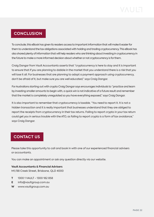# **CONCLUSION**

To conclude, this eBook has given its readers access to important information that will make it easier for them to understand the tax obligations associated with holding and trading cryptocurrency. This eBook has also shared plenty of information that will help readers who are thinking about investing in cryptocurrency in the future to make a more informed decision about whether or not cryptocurrency is for them.

Craig Dangar from Vault Accountants asserts that "cryptocurrency is here to stay and it is important to ensure that if you are planning to dabble in the market that you understand there is a risk that you will lose it all. For businesses that are planning to adopt a payment approach using cryptocurrency, don't be afraid of it, but make sure you are well educated," says Craig Dangar.

For Australians starting out with crypto Craig Dangar says encourages individuals to "practice and learn by investing smaller amounts to begin with, a quick win is not indicative of a future result and remember that the market is completely unregulated so you have everything exposed," says Craig Dangar.

It is also important to remember that cryptocurrency is taxable. "You need to report it. It is not a hidden transaction and it is really important that businesses understand that they are obliged to report the receipts from cryptocurrency in their tax returns. Failing to report crypto in your tax return could get you in serious trouble with the ATO, as failing to report crypto is a form of tax avoidance," says Craig Dangar.

# **CONTACT US**

Please take this opportunity to call and book in with one of our experienced financial advisers or accountants.

You can make an appointment or ask any question directly via our website.

#### **Vault Accountants & Financial Advisers** M1/88 Creek Street, Brisbane, QLD 4000

- **T** 1300 1 VAULT 1300 182 858
- **E** info@vaultgroup.com.au
- **W** www.vaultgroup.com.au